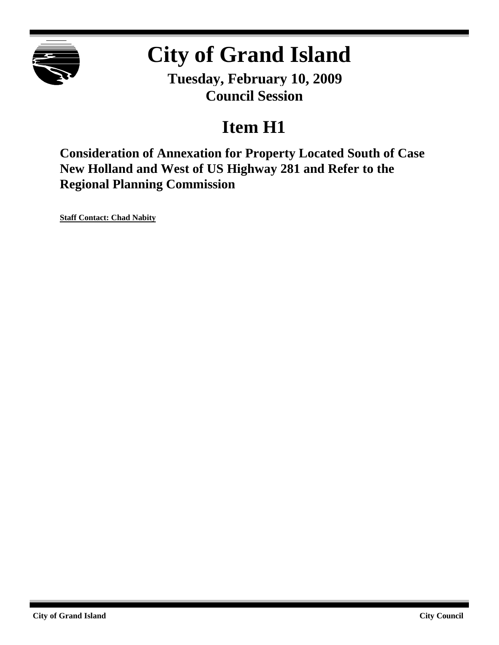

# **City of Grand Island**

**Tuesday, February 10, 2009 Council Session**

## **Item H1**

**Consideration of Annexation for Property Located South of Case New Holland and West of US Highway 281 and Refer to the Regional Planning Commission**

**Staff Contact: Chad Nabity**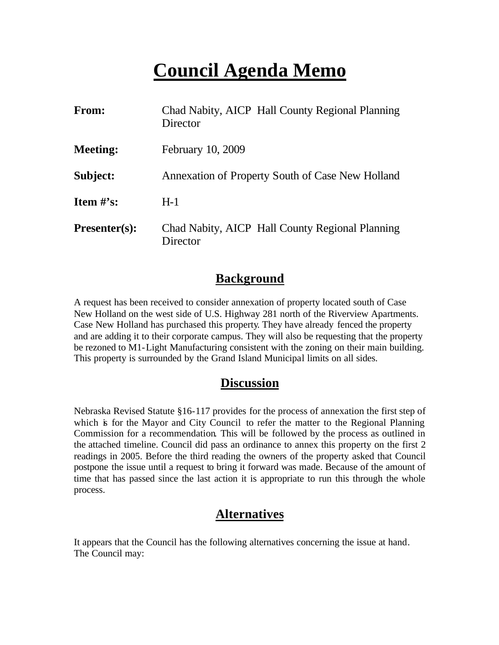### **Council Agenda Memo**

| From:           | Chad Nabity, AICP Hall County Regional Planning<br>Director |
|-----------------|-------------------------------------------------------------|
| <b>Meeting:</b> | February 10, 2009                                           |
| Subject:        | Annexation of Property South of Case New Holland            |
| Item $\#$ 's:   | $H-1$                                                       |
| $Presenter(s):$ | Chad Nabity, AICP Hall County Regional Planning<br>Director |

#### **Background**

A request has been received to consider annexation of property located south of Case New Holland on the west side of U.S. Highway 281 north of the Riverview Apartments. Case New Holland has purchased this property. They have already fenced the property and are adding it to their corporate campus. They will also be requesting that the property be rezoned to M1-Light Manufacturing consistent with the zoning on their main building. This property is surrounded by the Grand Island Municipal limits on all sides.

#### **Discussion**

Nebraska Revised Statute §16-117 provides for the process of annexation the first step of which is for the Mayor and City Council to refer the matter to the Regional Planning Commission for a recommendation. This will be followed by the process as outlined in the attached timeline. Council did pass an ordinance to annex this property on the first 2 readings in 2005. Before the third reading the owners of the property asked that Council postpone the issue until a request to bring it forward was made. Because of the amount of time that has passed since the last action it is appropriate to run this through the whole process.

#### **Alternatives**

It appears that the Council has the following alternatives concerning the issue at hand. The Council may: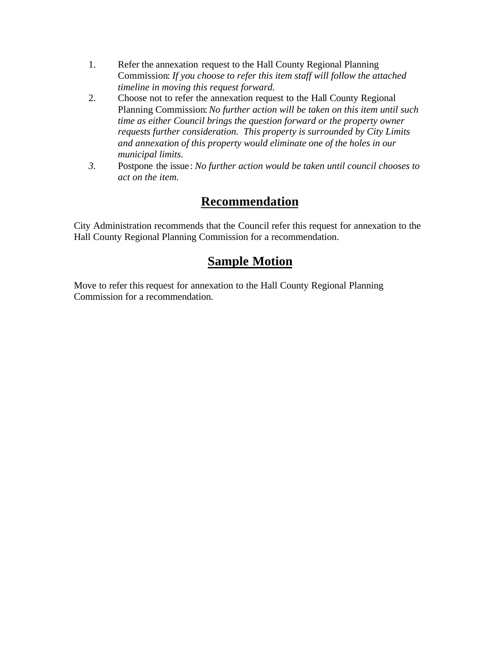- 1. Refer the annexation request to the Hall County Regional Planning Commission: *If you choose to refer this item staff will follow the attached timeline in moving this request forward.*
- 2. Choose not to refer the annexation request to the Hall County Regional Planning Commission: *No further action will be taken on this item until such time as either Council brings the question forward or the property owner requests further consideration. This property is surrounded by City Limits and annexation of this property would eliminate one of the holes in our municipal limits.*
- *3.* Postpone the issue: *No further action would be taken until council chooses to act on the item.*

#### **Recommendation**

City Administration recommends that the Council refer this request for annexation to the Hall County Regional Planning Commission for a recommendation.

### **Sample Motion**

Move to refer this request for annexation to the Hall County Regional Planning Commission for a recommendation.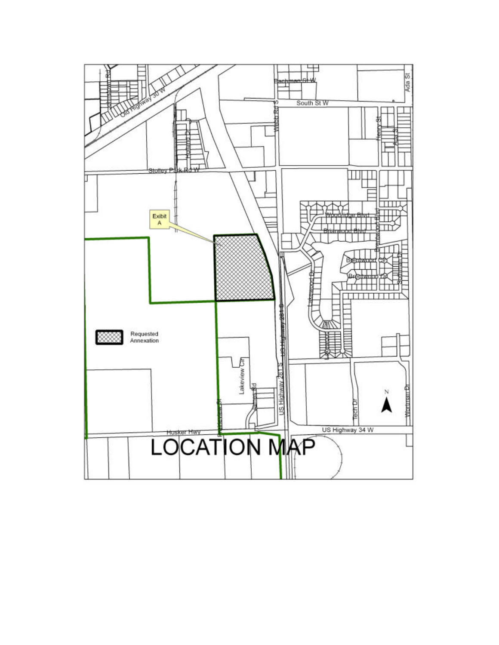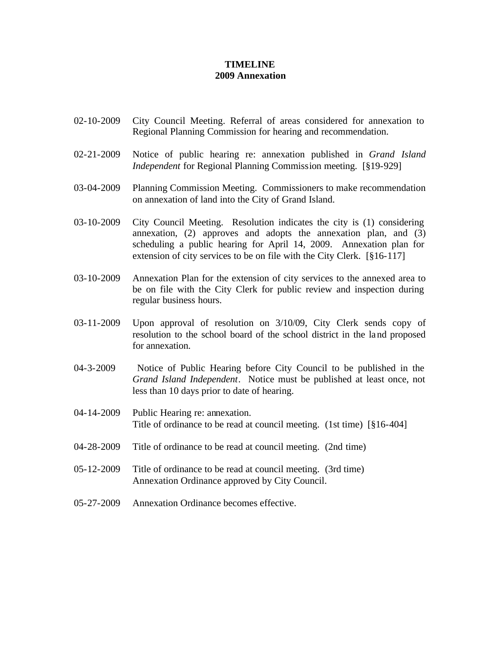#### **TIMELINE 2009 Annexation**

- 02-10-2009 City Council Meeting. Referral of areas considered for annexation to Regional Planning Commission for hearing and recommendation.
- 02-21-2009 Notice of public hearing re: annexation published in *Grand Island Independent* for Regional Planning Commission meeting. [§19-929]
- 03-04-2009 Planning Commission Meeting. Commissioners to make recommendation on annexation of land into the City of Grand Island.
- 03-10-2009 City Council Meeting. Resolution indicates the city is (1) considering annexation, (2) approves and adopts the annexation plan, and (3) scheduling a public hearing for April 14, 2009. Annexation plan for extension of city services to be on file with the City Clerk. [§16-117]
- 03-10-2009 Annexation Plan for the extension of city services to the annexed area to be on file with the City Clerk for public review and inspection during regular business hours.
- 03-11-2009 Upon approval of resolution on 3/10/09, City Clerk sends copy of resolution to the school board of the school district in the land proposed for annexation.
- 04-3-2009 Notice of Public Hearing before City Council to be published in the *Grand Island Independent*. Notice must be published at least once, not less than 10 days prior to date of hearing.
- 04-14-2009 Public Hearing re: annexation. Title of ordinance to be read at council meeting. (1st time) [§16-404]
- 04-28-2009 Title of ordinance to be read at council meeting. (2nd time)
- 05-12-2009 Title of ordinance to be read at council meeting. (3rd time) Annexation Ordinance approved by City Council.
- 05-27-2009 Annexation Ordinance becomes effective.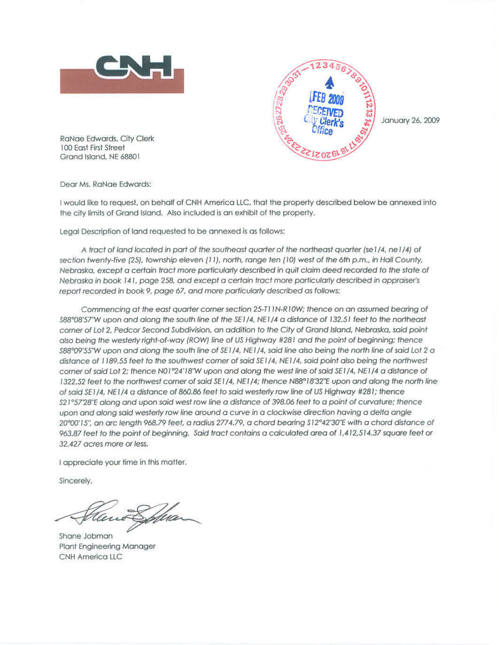



January 26, 2009

**RaNae Edwards, City Clerk** 100 East First Street Grand Island, NE 68801

Dear Ms. RaNae Edwards:

I would like to request, on behalf of CNH America LLC, that the property described below be annexed into the city limits of Grand Island. Also included is an exhibit of the property.

Legal Description of land requested to be annexed is as follows:

A tract of land located in part of the southeast quarter of the northeast quarter (se1/4, ne1/4) of section twenty-five (25), township eleven (11), north, range ten (10) west of the 6th p.m., in Hall County, Nebraska, except a certain tract more particularly described in quit claim deed recorded to the state of Nebraska in book 141, page 258, and except a certain tract more particularly described in appraiser's report recorded in book 9, page 67, and more particularly described as follows:

Commencing at the east quarter corner section 25-T11N-R10W; thence on an assumed bearing of \$88°08'57"W upon and along the south line of the SE1/4, NE1/4 a distance of 132.51 feet to the northeast corner of Lot 2, Pedcor Second Subdivision, an addition to the City of Grand Island, Nebraska, said point also being the westerly right-of-way (ROW) line of US Highway #281 and the point of beginning; thence \$88°09'55"W upon and along the south line of SE1/4, NE1/4, said line also being the north line of said Lot 2 a distance of 1189.55 feet to the southwest corner of said SE1/4, NE1/4, said point also being the northwest corner of said Lot 2; thence N01°24'18'W upon and along the west line of said SE1/4, NE1/4 a distance of 1322.52 feet to the northwest corner of said SE1/4, NE1/4; thence N88°18'32"E upon and along the north line of said SE1/4, NE1/4 a distance of 860.86 feet to said westerly row line of US Highway #281; thence \$21°57'28"E along and upon said west row line a distance of 398.06 feet to a point of curvature; thence upon and along said westerly row line around a curve in a clockwise direction having a delta angle 20°00'15", an arc length 968.79 feet, a radius 2774.79, a chord bearing \$12°42'30"E with a chord distance of 963.87 feet to the point of beginning. Said tract contains a calculated area of 1,412,514.37 square feet or 32,427 acres more or less.

I appreciate your time in this matter.

Sincerely,

Shane Jobman **Plant Engineering Manager CNH America LLC**